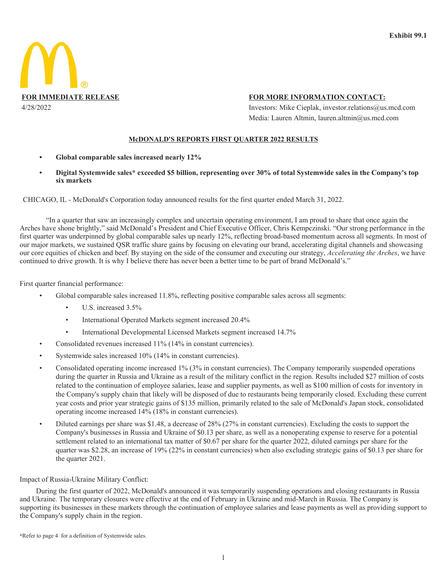

## FOR MORE INFORMATION CONTACT:

Investors: Mike Cieplak, investor.relations@us.mcd.com Media: Lauren Altmin, lauren.altmin@us.mcd.com

## **McDONALD'S REPORTS FIRST QUARTER 2022 RESULTS**

- Global comparable sales increased nearly 12%
- Digital Systemwide sales\* exceeded \$5 billion, representing over 30% of total Systemwide sales in the Company's top six markets

CHICAGO, IL - McDonald's Corporation today announced results for the first quarter ended March 31, 2022.

"In a quarter that saw an increasingly complex and uncertain operating environment, I am proud to share that once again the Arches have shone brightly," said McDonald's President and Chief Executive Officer, Chris Kempczinski. "Our strong performance in the first quarter was underpinned by global comparable sales up nearly 12%, reflecting broad-based momentum across all segments. In most of our major markets, we sustained OSR traffic share gains by focusing on elevating our brand, accelerating digital channels and showcasing our core equities of chicken and beef. By staying on the side of the consumer and executing our strategy, Accelerating the Arches, we have continued to drive growth. It is why I believe there has never been a better time to be part of brand McDonald's."

First quarter financial performance:

- Global comparable sales increased 11.8%, reflecting positive comparable sales across all segments:
	- $\bullet$ U.S. increased 3.5%
	- $\bullet$ International Operated Markets segment increased 20.4%
	- International Developmental Licensed Markets segment increased 14.7%
- Consolidated revenues increased 11% (14% in constant currencies).
- Systemwide sales increased 10% (14% in constant currencies).
- Consolidated operating income increased 1% (3% in constant currencies). The Company temporarily suspended operations during the quarter in Russia and Ukraine as a result of the military conflict in the region. Results included \$27 million of costs related to the continuation of employee salaries, lease and supplier payments, as well as \$100 million of costs for inventory in the Company's supply chain that likely will be disposed of due to restaurants being temporarily closed. Excluding these current year costs and prior year strategic gains of \$135 million, primarily related to the sale of McDonald's Japan stock, consolidated operating income increased 14% (18% in constant currencies).
- Diluted earnings per share was \$1.48, a decrease of 28% (27% in constant currencies). Excluding the costs to support the Company's businesses in Russia and Ukraine of \$0.13 per share, as well as a nonoperating expense to reserve for a potential settlement related to an international tax matter of \$0.67 per share for the quarter 2022, diluted earnings per share for the quarter was \$2.28, an increase of 19% (22% in constant currencies) when also excluding strategic gains of \$0.13 per share for the quarter 2021.

## Impact of Russia-Ukraine Military Conflict:

During the first quarter of 2022, McDonald's announced it was temporarily suspending operations and closing restaurants in Russia and Ukraine. The temporary closures were effective at the end of February in Ukraine and mid-March in Russia. The Company is supporting its businesses in these markets through the continuation of employee salaries and lease payments as well as providing support to the Company's supply chain in the region.

\*Refer to page 4 for a definition of Systemwide sales.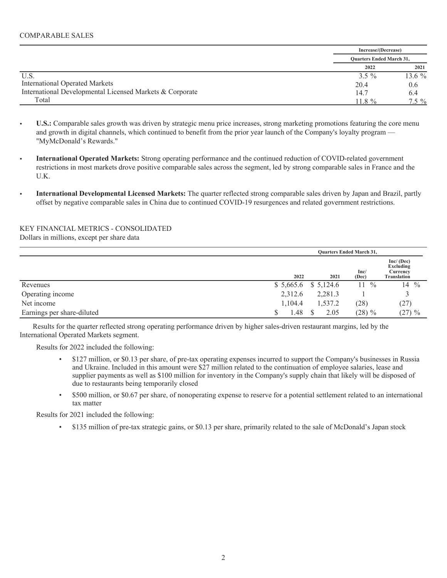|                                                          |          | Increase/(Decrease)<br><b>Ouarters Ended March 31,</b> |  |  |
|----------------------------------------------------------|----------|--------------------------------------------------------|--|--|
|                                                          |          |                                                        |  |  |
|                                                          | 2022     | 2021                                                   |  |  |
| U.S.                                                     | $3.5 \%$ | 13.6 $%$                                               |  |  |
| <b>International Operated Markets</b>                    | 20.4     | 0.6                                                    |  |  |
| International Developmental Licensed Markets & Corporate | 14.7     | 6.4                                                    |  |  |
| Total                                                    | $118\%$  | $7.5\%$                                                |  |  |

- **•** U.S.: Comparable sales growth was driven by strategic menu price increases, strong marketing promotions featuring the core menu and growth in digital channels, which continued to benefit from the prior year launch of the Company's loyalty program — "MyMcDonald's Rewards."
- $\bullet$  International Operated Markets: Strong operating performance and the continued reduction of COVID-related government restrictions in most markets drove positive comparable sales across the segment, led by strong comparable sales in France and the  $U.K.$
- **5. International Developmental Licensed Markets:** The quarter reflected strong comparable sales driven by Japan and Brazil, partly offset by negative comparable sales in China due to continued COVID-19 resurgences and related government restrictions.

## KEY FINANCIAL METRICS - CONSOLIDATED

Dollars in millions, except per share data

|                            |         | <b>Quarters Ended March 31,</b> |                  |                                                          |  |  |  |  |
|----------------------------|---------|---------------------------------|------------------|----------------------------------------------------------|--|--|--|--|
|                            | 2022    | 2021                            | Inc/<br>(Dec)    | Inc/(Dec)<br>Excluding<br>Currency<br><b>Translation</b> |  |  |  |  |
| Revenues                   |         | $$5,665.6$ $$5,124.6$           | $11 \frac{9}{6}$ | $14 \frac{9}{6}$                                         |  |  |  |  |
| Operating income           | 2,312.6 | 2,281.3                         |                  |                                                          |  |  |  |  |
| Net income                 | 1,104.4 | 1,537.2                         | (28)             | (27)                                                     |  |  |  |  |
| Earnings per share-diluted | '.48    | 2.05                            | $(28) \%$        | $(27) \%$                                                |  |  |  |  |

Results for the quarter reflected strong operating performance driven by higher sales-driven restaurant margins, led by the International Operated Markets segment.

Results for 2022 included the following:

- \$127 million, or \$0.13 per share, of pre-tax operating expenses incurred to support the Company's businesses in Russia and Ukraine. Included in this amount were \$27 million related to the continuation of employee salaries, lease and supplier payments as well as \$100 million for inventory in the Company's supply chain that likely will be disposed of due to restaurants being temporarily closed
- \$500 million, or \$0.67 per share, of nonoperating expense to reserve for a potential settlement related to an international tax matter

Results for 2021 included the following:

• \$135 million of pre-tax strategic gains, or \$0.13 per share, primarily related to the sale of McDonald's Japan stock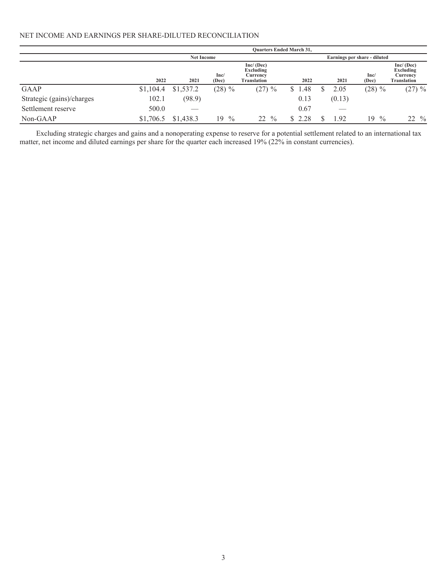## NET INCOME AND EARNINGS PER SHARE-DILUTED RECONCILIATION

|                           | <b>Ouarters Ended March 31,</b> |                   |                     |                                                    |        |                              |                       |                                                    |  |  |
|---------------------------|---------------------------------|-------------------|---------------------|----------------------------------------------------|--------|------------------------------|-----------------------|----------------------------------------------------|--|--|
|                           |                                 | <b>Net Income</b> |                     |                                                    |        | Earnings per share - diluted |                       |                                                    |  |  |
|                           | 2022                            | 2021              | Inc/<br>(Dec)       | Inc/ (Dec)<br>Excluding<br>Currency<br>Translation | 2022   |                              | Inc/<br>2021<br>(Dec) | Inc/ (Dec)<br>Excluding<br>Currency<br>Translation |  |  |
| <b>GAAP</b>               | \$1,104.4                       | \$1,537.2         | $(28) \%$           | $(27) \%$                                          | \$1.48 | 2.05                         | $(28) \%$             | $(27) \%$                                          |  |  |
| Strategic (gains)/charges | 102.1                           | (98.9)            |                     |                                                    | 0.13   | (0.13)                       |                       |                                                    |  |  |
| Settlement reserve        | 500.0                           |                   |                     |                                                    | 0.67   |                              | ___                   |                                                    |  |  |
| Non-GAAP                  | \$1,706.5                       | \$1,438.3         | $\frac{0}{0}$<br>19 | 22<br>$\frac{0}{0}$                                | \$2.28 | 1.92                         | $\frac{0}{0}$<br>19   | $22 \frac{9}{6}$                                   |  |  |

Excluding strategic charges and gains and a nonoperating expense to reserve for a potential settlement related to an international tax matter, net income and diluted earnings per share for the quarter each increased 19% (2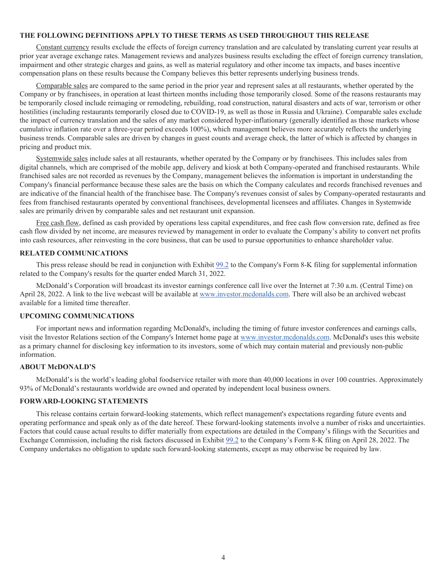#### **THE FOLLOWING DEFINITIONS APPLY TO THESE TERMS AS USED THROUGHOUT THIS RELEASE**

Constant currency results exclude the effects of foreign currency translation and are calculated by translating current year results at prior year average exchange rates. Management reviews and analyzes business results excluding the effect of foreign currency translation, impairment and other strategic charges and gains, as well as material regulatory and other income tax impacts, and bases incentive compensation plans on these results because the Company believes this better represents underlying business trends.

Comparable sales are compared to the same period in the prior year and represent sales at all restaurants, whether operated by the Company or by franchisees, in operation at least thirteen months including those temporarily closed. Some of the reasons restaurants may be temporarily closed include reimaging or remodeling, rebuilding, road construction, natural disasters and acts of war, terrorism or other hostilities (including restaurants temporarily closed due to COVID-19, as well as those in Russia and Ukraine). Comparable sales exclude the impact of currency translation and the sales of any market considered hyper-inflationary (generally identified as those markets whose cumulative inflation rate over a three-year period exceeds 100%), which management believes more accurately reflects the underlying business trends. Comparable sales are driven by changes in guest counts and average check, the latter of which is affected by changes in pricing and product mix.

Systemwide sales include sales at all restaurants, whether operated by the Company or by franchisees. This includes sales from digital channels, which are comprised of the mobile app, delivery and kiosk at both Company-operated and franchised restaurants. While franchised sales are not recorded as revenues by the Company, management believes the information is important in understanding the Company's financial performance because these sales are the basis on which the Company calculates and records franchised revenues and are indicative of the financial health of the franchisee base. The Company's revenues consist of sales by Company-operated restaurants and fees from franchised restaurants operated by conventional franchisees, developmental licensees and affiliates. Changes in Systemwide sales are primarily driven by comparable sales and net restaurant unit expansion.

Free cash flow, defined as cash provided by operations less capital expenditures, and free cash flow conversion rate, defined as free cash flow divided by net income, are measures reviewed by management in order to evaluate the Company's ability to convert net profits into cash resources, after reinvesting in the core business, that can be used to pursue opportunities to enhance shareholder value.

### **RELATED COMMUNICATIONS**

This press release should be read in conjunction with Exhibit  $99.2$  to the Company's Form 8-K filing for supplemental information related to the Company's results for the quarter ended March 31, 2022.

McDonald's Corporation will broadcast its investor earnings conference call live over the Internet at 7:30 a.m. (Central Time) on April 28, 2022. A link to the live webcast will be available at www.investor.mcdonalds.com. There will also be an archived webcast available for a limited time thereafter

#### **UPCOMING COMMUNICATIONS**

For important news and information regarding McDonald's, including the timing of future investor conferences and earnings calls, visit the Investor Relations section of the Company's Internet home page at www.investor.mcdonalds.com. McDonald's uses this website as a primary channel for disclosing key information to its investors, some of which may contain material and previously non-public information.

#### **ABOUT McDONALD'S**

McDonald's is the world's leading global foodservice retailer with more than 40,000 locations in over 100 countries. Approximately 93% of McDonald's restaurants worldwide are owned and operated by independent local business owners.

## **FORWARD-LOOKING STATEMENTS**

This release contains certain forward-looking statements, which reflect management's expectations regarding future events and operating performance and speak only as of the date hereof. These forward-looking statements involve a number of risks and uncertainties. Factors that could cause actual results to differ materially from expectations are detailed in the Company's filings with the Securities and Exchange Commission, including the risk factors discussed in Exhibit  $99.2$  to the Company's Form 8-K filing on April 28, 2022. The Company undertakes no obligation to update such forward-looking statements, except as may otherwise be required by law.